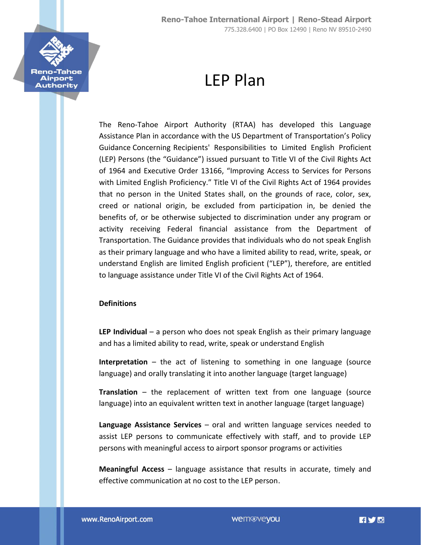

# LEP Plan

The Reno-Tahoe Airport Authority (RTAA) has developed this Language Assistance Plan in accordance with the US Department of Transportation's Policy Guidance Concerning Recipients' Responsibilities to Limited English Proficient (LEP) Persons (the "Guidance") issued pursuant to Title VI of the Civil Rights Act of 1964 and Executive Order 13166, "Improving Access to Services for Persons with Limited English Proficiency." Title VI of the Civil Rights Act of 1964 provides that no person in the United States shall, on the grounds of race, color, sex, creed or national origin, be excluded from participation in, be denied the benefits of, or be otherwise subjected to discrimination under any program or activity receiving Federal financial assistance from the Department of Transportation. The Guidance provides that individuals who do not speak English as their primary language and who have a limited ability to read, write, speak, or understand English are limited English proficient ("LEP"), therefore, are entitled to language assistance under Title VI of the Civil Rights Act of 1964.

### **Definitions**

**LEP Individual** – a person who does not speak English as their primary language and has a limited ability to read, write, speak or understand English

**Interpretation** – the act of listening to something in one language (source language) and orally translating it into another language (target language)

**Translation** – the replacement of written text from one language (source language) into an equivalent written text in another language (target language)

**Language Assistance Services** – oral and written language services needed to assist LEP persons to communicate effectively with staff, and to provide LEP persons with meaningful access to airport sponsor programs or activities

**Meaningful Access** – language assistance that results in accurate, timely and effective communication at no cost to the LEP person.

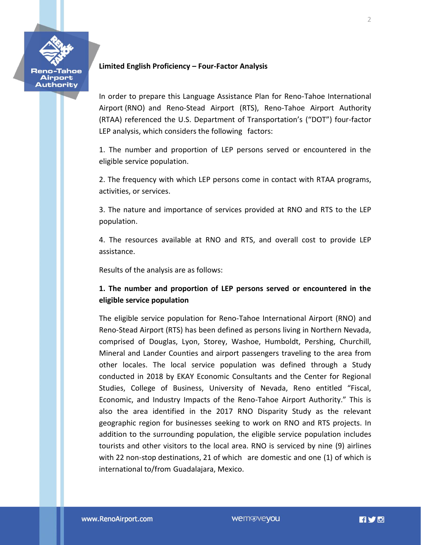

### **Limited English Proficiency – Four-Factor Analysis**

In order to prepare this Language Assistance Plan for Reno-Tahoe International Airport (RNO) and Reno-Stead Airport (RTS), Reno-Tahoe Airport Authority (RTAA) referenced the U.S. Department of Transportation's ("DOT") four-factor LEP analysis, which considers the following factors:

1. The number and proportion of LEP persons served or encountered in the eligible service population.

2. The frequency with which LEP persons come in contact with RTAA programs, activities, or services.

3. The nature and importance of services provided at RNO and RTS to the LEP population.

4. The resources available at RNO and RTS, and overall cost to provide LEP assistance.

Results of the analysis are as follows:

# **1. The number and proportion of LEP persons served or encountered in the eligible service population**

The eligible service population for Reno-Tahoe International Airport (RNO) and Reno-Stead Airport (RTS) has been defined as persons living in Northern Nevada, comprised of Douglas, Lyon, Storey, Washoe, Humboldt, Pershing, Churchill, Mineral and Lander Counties and airport passengers traveling to the area from other locales. The local service population was defined through a Study conducted in 2018 by EKAY Economic Consultants and the Center for Regional Studies, College of Business, University of Nevada, Reno entitled "Fiscal, Economic, and Industry Impacts of the Reno-Tahoe Airport Authority." This is also the area identified in the 2017 RNO Disparity Study as the relevant geographic region for businesses seeking to work on RNO and RTS projects. In addition to the surrounding population, the eligible service population includes tourists and other visitors to the local area. RNO is serviced by nine (9) airlines with 22 non-stop destinations, 21 of which are domestic and one (1) of which is international to/from Guadalajara, Mexico.

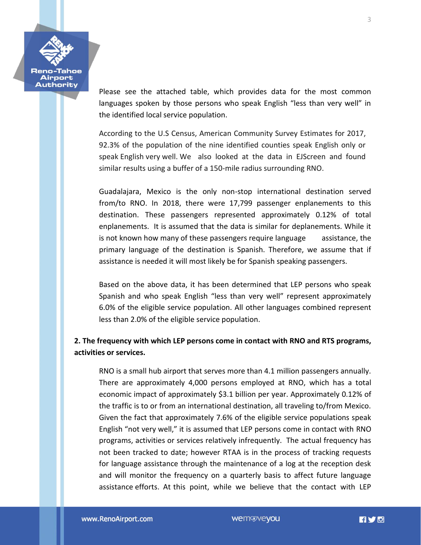

Please see the attached table, which provides data for the most common languages spoken by those persons who speak English "less than very well" in the identified local service population.

According to the U.S Census, American Community Survey Estimates for 2017, 92.3% of the population of the nine identified counties speak English only or speak English very well. We also looked at the data in EJScreen and found similar results using a buffer of a 150-mile radius surrounding RNO.

Guadalajara, Mexico is the only non-stop international destination served from/to RNO. In 2018, there were 17,799 passenger enplanements to this destination. These passengers represented approximately 0.12% of total enplanements. It is assumed that the data is similar for deplanements. While it is not known how many of these passengers require language assistance, the primary language of the destination is Spanish. Therefore, we assume that if assistance is needed it will most likely be for Spanish speaking passengers.

Based on the above data, it has been determined that LEP persons who speak Spanish and who speak English "less than very well" represent approximately 6.0% of the eligible service population. All other languages combined represent less than 2.0% of the eligible service population.

# **2. The frequency with which LEP persons come in contact with RNO and RTS programs, activities or services.**

RNO is a small hub airport that serves more than 4.1 million passengers annually. There are approximately 4,000 persons employed at RNO, which has a total economic impact of approximately \$3.1 billion per year. Approximately 0.12% of the traffic is to or from an international destination, all traveling to/from Mexico. Given the fact that approximately 7.6% of the eligible service populations speak English "not very well," it is assumed that LEP persons come in contact with RNO programs, activities or services relatively infrequently. The actual frequency has not been tracked to date; however RTAA is in the process of tracking requests for language assistance through the maintenance of a log at the reception desk and will monitor the frequency on a quarterly basis to affect future language assistance efforts. At this point, while we believe that the contact with LEP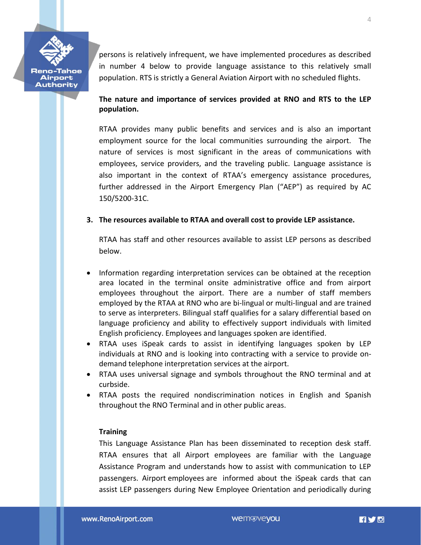

Airport **Authority**  persons is relatively infrequent, we have implemented procedures as described in number 4 below to provide language assistance to this relatively small population. RTS is strictly a General Aviation Airport with no scheduled flights.

# **The nature and importance of services provided at RNO and RTS to the LEP population.**

RTAA provides many public benefits and services and is also an important employment source for the local communities surrounding the airport. The nature of services is most significant in the areas of communications with employees, service providers, and the traveling public. Language assistance is also important in the context of RTAA's emergency assistance procedures, further addressed in the Airport Emergency Plan ("AEP") as required by AC 150/5200-31C.

# **3. The resources available to RTAA and overall cost to provide LEP assistance.**

RTAA has staff and other resources available to assist LEP persons as described below.

- Information regarding interpretation services can be obtained at the reception area located in the terminal onsite administrative office and from airport employees throughout the airport. There are a number of staff members employed by the RTAA at RNO who are bi-lingual or multi-lingual and are trained to serve as interpreters. Bilingual staff qualifies for a salary differential based on language proficiency and ability to effectively support individuals with limited English proficiency. Employees and languages spoken are identified.
- RTAA uses iSpeak cards to assist in identifying languages spoken by LEP individuals at RNO and is looking into contracting with a service to provide ondemand telephone interpretation services at the airport.
- RTAA uses universal signage and symbols throughout the RNO terminal and at curbside.
- RTAA posts the required nondiscrimination notices in English and Spanish throughout the RNO Terminal and in other public areas.

### **Training**

This Language Assistance Plan has been disseminated to reception desk staff. RTAA ensures that all Airport employees are familiar with the Language Assistance Program and understands how to assist with communication to LEP passengers. Airport employees are informed about the iSpeak cards that can assist LEP passengers during New Employee Orientation and periodically during

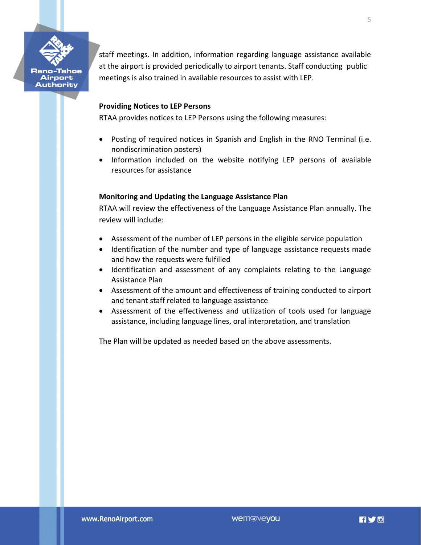

Airport **Authority**  staff meetings. In addition, information regarding language assistance available at the airport is provided periodically to airport tenants. Staff conducting public meetings is also trained in available resources to assist with LEP.

### **Providing Notices to LEP Persons**

RTAA provides notices to LEP Persons using the following measures:

- Posting of required notices in Spanish and English in the RNO Terminal (i.e. nondiscrimination posters)
- Information included on the website notifying LEP persons of available resources for assistance

### **Monitoring and Updating the Language Assistance Plan**

RTAA will review the effectiveness of the Language Assistance Plan annually. The review will include:

- Assessment of the number of LEP persons in the eligible service population
- Identification of the number and type of language assistance requests made and how the requests were fulfilled
- Identification and assessment of any complaints relating to the Language Assistance Plan
- Assessment of the amount and effectiveness of training conducted to airport and tenant staff related to language assistance
- Assessment of the effectiveness and utilization of tools used for language assistance, including language lines, oral interpretation, and translation

The Plan will be updated as needed based on the above assessments.